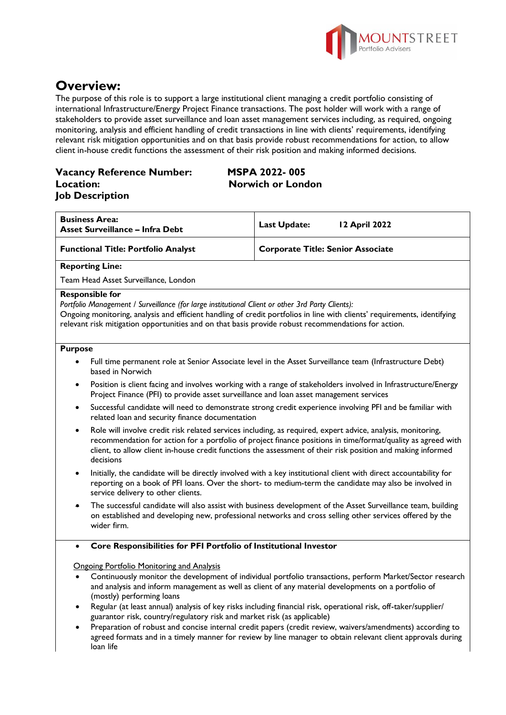

# **Overview:**

The purpose of this role is to support a large institutional client managing a credit portfolio consisting of international Infrastructure/Energy Project Finance transactions. The post holder will work with a range of stakeholders to provide asset surveillance and loan asset management services including, as required, ongoing monitoring, analysis and efficient handling of credit transactions in line with clients' requirements, identifying relevant risk mitigation opportunities and on that basis provide robust recommendations for action, to allow client in-house credit functions the assessment of their risk position and making informed decisions.

## **Vacancy Reference Number: MSPA 2022- 005 Location: Norwich or London Job Description**

| <b>Business Area:</b><br>Asset Surveillance - Infra Debt | Last Update:<br><b>12 April 2022</b> |
|----------------------------------------------------------|--------------------------------------|
| <b>Functional Title: Portfolio Analyst</b>               | Corporate Title: Senior Associate    |
|                                                          |                                      |

**Reporting Line:**

Team Head Asset Surveillance, London

#### **Responsible for**

*Portfolio Management / Surveillance (for large institutional Client or other 3rd Party Clients):*

Ongoing monitoring, analysis and efficient handling of credit portfolios in line with clients' requirements, identifying relevant risk mitigation opportunities and on that basis provide robust recommendations for action.

#### **Purpose**

- Full time permanent role at Senior Associate level in the Asset Surveillance team (Infrastructure Debt) based in Norwich
- Position is client facing and involves working with a range of stakeholders involved in Infrastructure/Energy Project Finance (PFI) to provide asset surveillance and loan asset management services
- Successful candidate will need to demonstrate strong credit experience involving PFI and be familiar with related loan and security finance documentation
- Role will involve credit risk related services including, as required, expert advice, analysis, monitoring, recommendation for action for a portfolio of project finance positions in time/format/quality as agreed with client, to allow client in-house credit functions the assessment of their risk position and making informed decisions
- Initially, the candidate will be directly involved with a key institutional client with direct accountability for reporting on a book of PFI loans. Over the short- to medium-term the candidate may also be involved in service delivery to other clients.
- The successful candidate will also assist with business development of the Asset Surveillance team, building on established and developing new, professional networks and cross selling other services offered by the wider firm.

#### • **Core Responsibilities for PFI Portfolio of Institutional Investor**

Ongoing Portfolio Monitoring and Analysis

- Continuously monitor the development of individual portfolio transactions, perform Market/Sector research and analysis and inform management as well as client of any material developments on a portfolio of (mostly) performing loans
- Regular (at least annual) analysis of key risks including financial risk, operational risk, off-taker/supplier/ guarantor risk, country/regulatory risk and market risk (as applicable)
- Preparation of robust and concise internal credit papers (credit review, waivers/amendments) according to agreed formats and in a timely manner for review by line manager to obtain relevant client approvals during loan life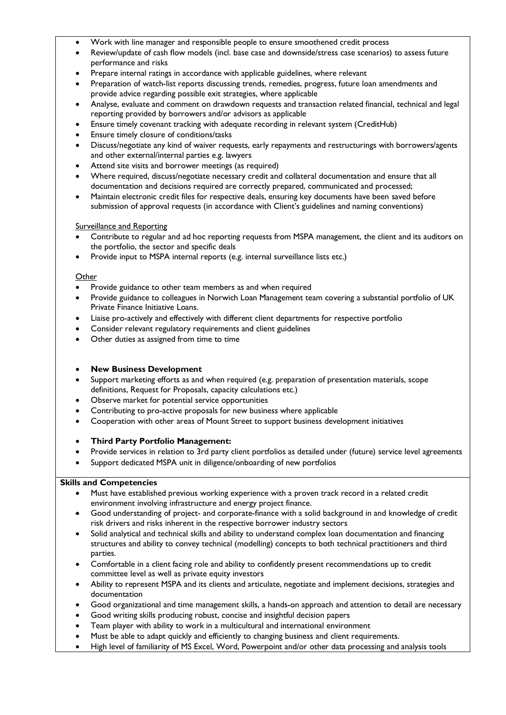- Work with line manager and responsible people to ensure smoothened credit process
- Review/update of cash flow models (incl. base case and downside/stress case scenarios) to assess future performance and risks
- Prepare internal ratings in accordance with applicable guidelines, where relevant
- Preparation of watch-list reports discussing trends, remedies, progress, future loan amendments and provide advice regarding possible exit strategies, where applicable
- Analyse, evaluate and comment on drawdown requests and transaction related financial, technical and legal reporting provided by borrowers and/or advisors as applicable
- Ensure timely covenant tracking with adequate recording in relevant system (CreditHub)
- Ensure timely closure of conditions/tasks
- Discuss/negotiate any kind of waiver requests, early repayments and restructurings with borrowers/agents and other external/internal parties e.g. lawyers
- Attend site visits and borrower meetings (as required)
- Where required, discuss/negotiate necessary credit and collateral documentation and ensure that all documentation and decisions required are correctly prepared, communicated and processed;
- Maintain electronic credit files for respective deals, ensuring key documents have been saved before submission of approval requests (in accordance with Client's guidelines and naming conventions)

#### Surveillance and Reporting

- Contribute to regular and ad hoc reporting requests from MSPA management, the client and its auditors on the portfolio, the sector and specific deals
- Provide input to MSPA internal reports (e.g. internal surveillance lists etc.)

#### **Other**

- Provide guidance to other team members as and when required
- Provide guidance to colleagues in Norwich Loan Management team covering a substantial portfolio of UK Private Finance Initiative Loans.
- Liaise pro-actively and effectively with different client departments for respective portfolio
- Consider relevant regulatory requirements and client guidelines
- Other duties as assigned from time to time

#### • **New Business Development**

- Support marketing efforts as and when required (e.g. preparation of presentation materials, scope definitions, Request for Proposals, capacity calculations etc.)
- Observe market for potential service opportunities
- Contributing to pro-active proposals for new business where applicable
- Cooperation with other areas of Mount Street to support business development initiatives
- **Third Party Portfolio Management:**
- Provide services in relation to 3rd party client portfolios as detailed under (future) service level agreements
- Support dedicated MSPA unit in diligence/onboarding of new portfolios

#### **Skills and Competencies**

- Must have established previous working experience with a proven track record in a related credit environment involving infrastructure and energy project finance.
- Good understanding of project- and corporate-finance with a solid background in and knowledge of credit risk drivers and risks inherent in the respective borrower industry sectors
- Solid analytical and technical skills and ability to understand complex loan documentation and financing structures and ability to convey technical (modelling) concepts to both technical practitioners and third parties.
- Comfortable in a client facing role and ability to confidently present recommendations up to credit committee level as well as private equity investors
- Ability to represent MSPA and its clients and articulate, negotiate and implement decisions, strategies and documentation
- Good organizational and time management skills, a hands-on approach and attention to detail are necessary
- Good writing skills producing robust, concise and insightful decision papers
- Team player with ability to work in a multicultural and international environment
- Must be able to adapt quickly and efficiently to changing business and client requirements.
- High level of familiarity of MS Excel, Word, Powerpoint and/or other data processing and analysis tools